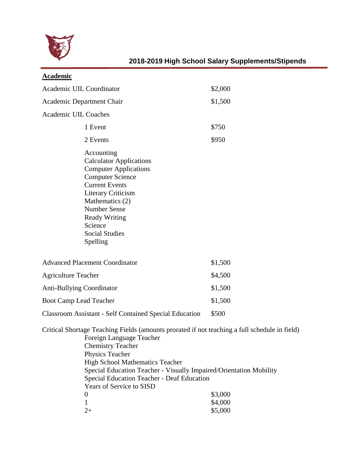

| <b>Academic</b>                                               |                                                                                                                                                                                                                                                                                                                                                                                                    |                    |
|---------------------------------------------------------------|----------------------------------------------------------------------------------------------------------------------------------------------------------------------------------------------------------------------------------------------------------------------------------------------------------------------------------------------------------------------------------------------------|--------------------|
| Academic UIL Coordinator                                      |                                                                                                                                                                                                                                                                                                                                                                                                    | \$2,000            |
| Academic Department Chair                                     |                                                                                                                                                                                                                                                                                                                                                                                                    | \$1,500            |
| Academic UIL Coaches                                          |                                                                                                                                                                                                                                                                                                                                                                                                    |                    |
|                                                               | 1 Event                                                                                                                                                                                                                                                                                                                                                                                            | \$750              |
|                                                               | 2 Events                                                                                                                                                                                                                                                                                                                                                                                           | \$950              |
|                                                               | Accounting<br><b>Calculator Applications</b><br><b>Computer Applications</b><br><b>Computer Science</b><br><b>Current Events</b><br><b>Literary Criticism</b><br>Mathematics (2)<br><b>Number Sense</b><br><b>Ready Writing</b><br>Science<br><b>Social Studies</b><br>Spelling                                                                                                                    |                    |
| <b>Advanced Placement Coordinator</b>                         |                                                                                                                                                                                                                                                                                                                                                                                                    | \$1,500            |
| <b>Agriculture Teacher</b>                                    |                                                                                                                                                                                                                                                                                                                                                                                                    | \$4,500            |
| <b>Anti-Bullying Coordinator</b>                              |                                                                                                                                                                                                                                                                                                                                                                                                    | \$1,500            |
| <b>Boot Camp Lead Teacher</b>                                 |                                                                                                                                                                                                                                                                                                                                                                                                    | \$1,500            |
| <b>Classroom Assistant - Self Contained Special Education</b> |                                                                                                                                                                                                                                                                                                                                                                                                    | \$500              |
|                                                               | Critical Shortage Teaching Fields (amounts prorated if not teaching a full schedule in field)<br>Foreign Language Teacher<br><b>Chemistry Teacher</b><br>Physics Teacher<br>High School Mathematics Teacher<br>Special Education Teacher - Visually Impaired/Orientation Mobility<br><b>Special Education Teacher - Deaf Education</b><br><b>Years of Service to SISD</b><br>$\boldsymbol{0}$<br>1 | \$3,000<br>\$4,000 |
|                                                               | $2+$                                                                                                                                                                                                                                                                                                                                                                                               | \$5,000            |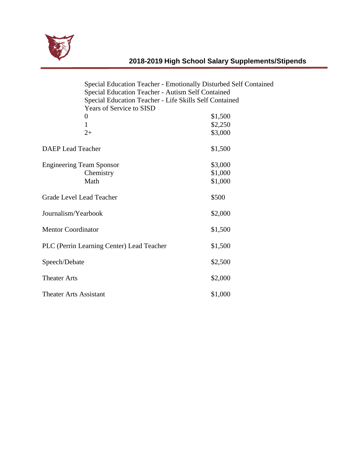

|                                           | Special Education Teacher - Emotionally Disturbed Self Contained |  |  |
|-------------------------------------------|------------------------------------------------------------------|--|--|
|                                           | Special Education Teacher - Autism Self Contained                |  |  |
|                                           | Special Education Teacher - Life Skills Self Contained           |  |  |
| <b>Years of Service to SISD</b>           |                                                                  |  |  |
| $\boldsymbol{0}$                          | \$1,500                                                          |  |  |
| $\mathbf{1}$                              | \$2,250                                                          |  |  |
| $2+$                                      | \$3,000                                                          |  |  |
| <b>DAEP</b> Lead Teacher                  | \$1,500                                                          |  |  |
| <b>Engineering Team Sponsor</b>           | \$3,000                                                          |  |  |
| Chemistry                                 | \$1,000                                                          |  |  |
| Math                                      | \$1,000                                                          |  |  |
| Grade Level Lead Teacher                  | \$500                                                            |  |  |
| Journalism/Yearbook                       | \$2,000                                                          |  |  |
| <b>Mentor Coordinator</b>                 | \$1,500                                                          |  |  |
| PLC (Perrin Learning Center) Lead Teacher | \$1,500                                                          |  |  |
| Speech/Debate                             | \$2,500                                                          |  |  |
| <b>Theater Arts</b>                       | \$2,000                                                          |  |  |
| <b>Theater Arts Assistant</b>             | \$1,000                                                          |  |  |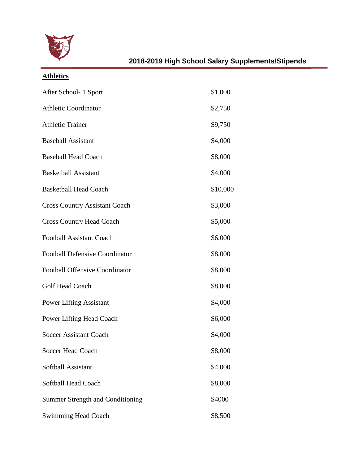

## **Athletics**

| After School- 1 Sport                   | \$1,000  |
|-----------------------------------------|----------|
| <b>Athletic Coordinator</b>             | \$2,750  |
| <b>Athletic Trainer</b>                 | \$9,750  |
| <b>Baseball Assistant</b>               | \$4,000  |
| <b>Baseball Head Coach</b>              | \$8,000  |
| <b>Basketball Assistant</b>             | \$4,000  |
| <b>Basketball Head Coach</b>            | \$10,000 |
| <b>Cross Country Assistant Coach</b>    | \$3,000  |
| <b>Cross Country Head Coach</b>         | \$5,000  |
| <b>Football Assistant Coach</b>         | \$6,000  |
| <b>Football Defensive Coordinator</b>   | \$8,000  |
| <b>Football Offensive Coordinator</b>   | \$8,000  |
| Golf Head Coach                         | \$8,000  |
| <b>Power Lifting Assistant</b>          | \$4,000  |
| Power Lifting Head Coach                | \$6,000  |
| <b>Soccer Assistant Coach</b>           | \$4,000  |
| Soccer Head Coach                       | \$8,000  |
| Softball Assistant                      | \$4,000  |
| Softball Head Coach                     | \$8,000  |
| <b>Summer Strength and Conditioning</b> | \$4000   |
| <b>Swimming Head Coach</b>              | \$8,500  |